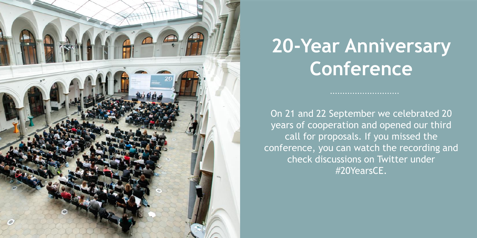

# **20-Year Anniversary Conference**

On 21 and 22 September we celebrated 20 years of cooperation and opened our third call for proposals. If you missed the conference, you can watch the recording and check discussions on Twitter under #20YearsCE.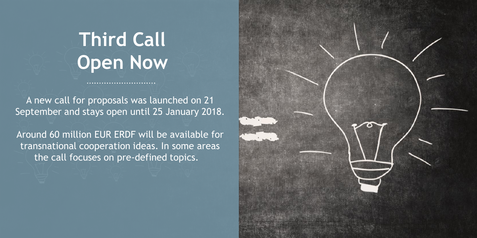# **Third Call Open Now**

A new call for proposals was launched on 21 September and stays open until 25 January 2018.

Around 60 million EUR ERDF will be available for transnational cooperation ideas. In some areas the call focuses on pre-defined topics.

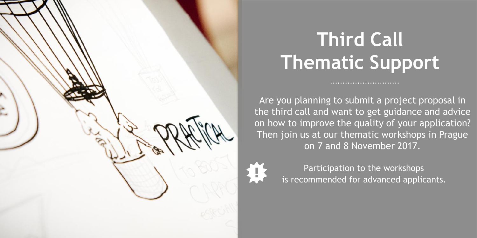

# **Third Call Thematic Support**

Are you planning to submit a project proposal in the third call and want to get guidance and advice on how to improve the quality of your application? Then join us at our thematic workshops in Prague on 7 and 8 November 2017.

> Participation to the workshops is recommended for advanced applicants.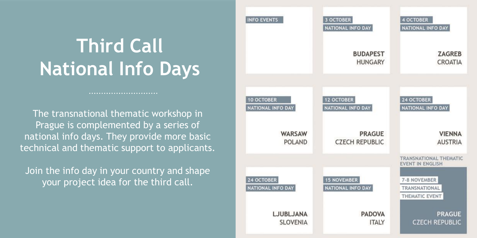# **Third Call National Info Days**

The transnational thematic workshop in Prague is complemented by a series of national info days. They provide more basic technical and thematic support to applicants.

Join the info day in your country and shape your project idea for the third call.

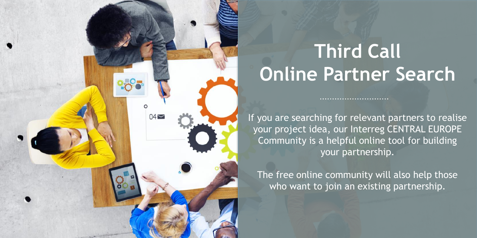# $04\approx$

# **Third Call Online Partner Search**

If you are searching for relevant partners to realise your project idea, our Interreg CENTRAL EUROPE Community is a helpful online tool for building your partnership.

......................

The free online community will also help those who want to join an existing partnership.